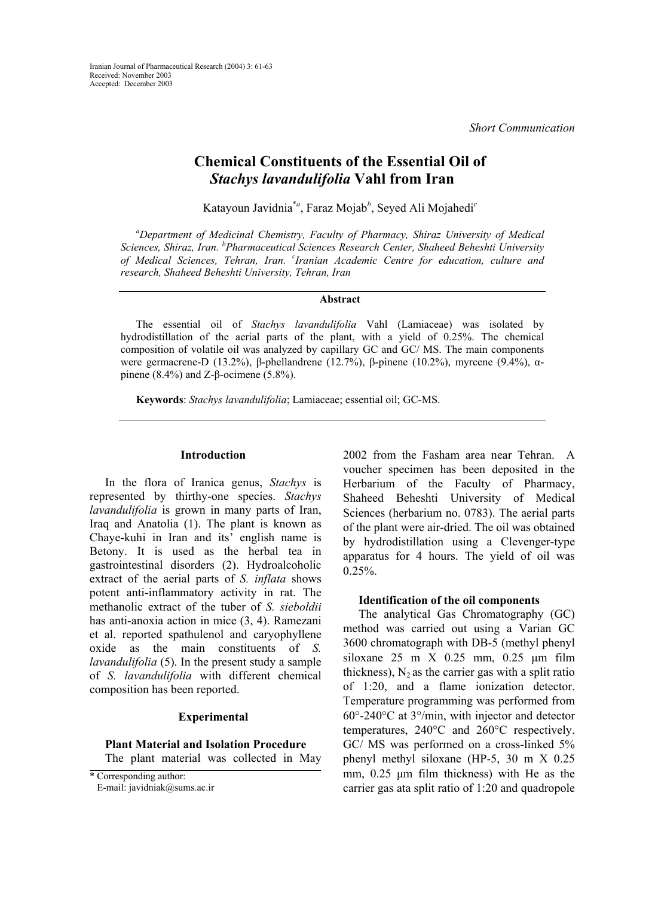*Short Communication* 

# **Chemical Constituents of the Essential Oil of**  *Stachys lavandulifolia* **Vahl from Iran**

Katayoun Javidnia\**<sup>a</sup>* , Faraz Mojab*<sup>b</sup>* , Seyed Ali Mojahedi*<sup>c</sup>*

*a Department of Medicinal Chemistry, Faculty of Pharmacy, Shiraz University of Medical Sciences, Shiraz, Iran. <sup>b</sup> Pharmaceutical Sciences Research Center, Shaheed Beheshti University of Medical Sciences, Tehran, Iran. <sup>c</sup> Iranian Academic Centre for education, culture and research, Shaheed Beheshti University, Tehran, Iran* 

# **Abstract**

The essential oil of *Stachys lavandulifolia* Vahl (Lamiaceae) was isolated by hydrodistillation of the aerial parts of the plant, with a yield of 0.25%. The chemical composition of volatile oil was analyzed by capillary GC and GC/ MS. The main components were germacrene-D (13.2%), β-phellandrene (12.7%), β-pinene (10.2%), myrcene (9.4%), αpinene (8.4%) and Z-β-ocimene (5.8%).

**Keywords**: *Stachys lavandulifolia*; Lamiaceae; essential oil; GC-MS.

# **Introduction**

In the flora of Iranica genus, *Stachys* is represented by thirthy-one species. *Stachys lavandulifolia* is grown in many parts of Iran, Iraq and Anatolia (1). The plant is known as Chaye-kuhi in Iran and its' english name is Betony. It is used as the herbal tea in gastrointestinal disorders (2). Hydroalcoholic extract of the aerial parts of *S. inflata* shows potent anti-inflammatory activity in rat. The methanolic extract of the tuber of *S. sieboldii*  has anti-anoxia action in mice (3, 4). Ramezani et al. reported spathulenol and caryophyllene oxide as the main constituents of *S. lavandulifolia* (5). In the present study a sample of *S. lavandulifolia* with different chemical composition has been reported.

#### **Experimental**

**Plant Material and Isolation Procedure**  The plant material was collected in May

E-mail: javidniak@sums.ac.ir

2002 from the Fasham area near Tehran. A voucher specimen has been deposited in the Herbarium of the Faculty of Pharmacy, Shaheed Beheshti University of Medical Sciences (herbarium no. 0783). The aerial parts of the plant were air-dried. The oil was obtained by hydrodistillation using a Clevenger-type apparatus for 4 hours. The yield of oil was  $0.25%$ .

## **Identification of the oil components**

The analytical Gas Chromatography (GC) method was carried out using a Varian GC 3600 chromatograph with DB-5 (methyl phenyl siloxane 25 m X 0.25 mm, 0.25 µm film thickness),  $N_2$  as the carrier gas with a split ratio of 1:20, and a flame ionization detector. Temperature programming was performed from 60°-240°C at 3°/min, with injector and detector temperatures, 240°C and 260°C respectively. GC/ MS was performed on a cross-linked 5% phenyl methyl siloxane (HP-5, 30 m X 0.25 mm,  $0.25 \mu m$  film thickness) with He as the carrier gas ata split ratio of 1:20 and quadropole

<sup>\*</sup> Corresponding author: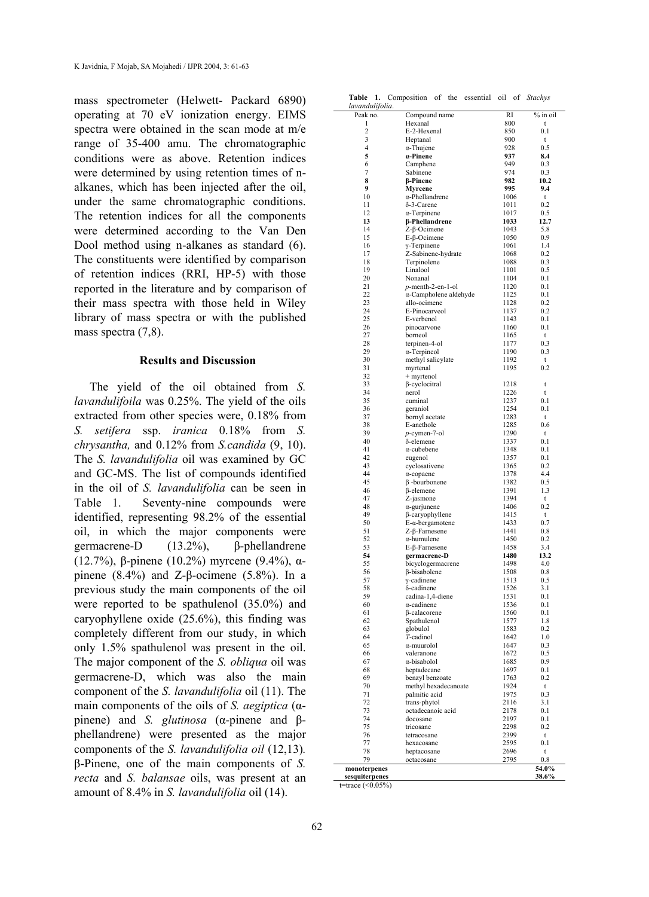mass spectrometer (Helwett- Packard 6890) operating at 70 eV ionization energy. EIMS spectra were obtained in the scan mode at m/e range of 35-400 amu. The chromatographic conditions were as above. Retention indices were determined by using retention times of nalkanes, which has been injected after the oil, under the same chromatographic conditions. The retention indices for all the components were determined according to the Van Den Dool method using n-alkanes as standard (6). The constituents were identified by comparison of retention indices (RRI, HP-5) with those reported in the literature and by comparison of their mass spectra with those held in Wiley library of mass spectra or with the published mass spectra  $(7,8)$ .

# **Results and Discussion**

The yield of the oil obtained from *S. lavandulifoila* was 0.25%. The yield of the oils extracted from other species were, 0.18% from *S. setifera* ssp. *iranica* 0.18% from *S. chrysantha,* and 0.12% from *S.candida* (9, 10). The *S. lavandulifolia* oil was examined by GC and GC-MS. The list of compounds identified in the oil of *S. lavandulifolia* can be seen in Table 1. Seventy-nine compounds were identified, representing 98.2% of the essential oil, in which the major components were germacrene-D (13.2%), β-phellandrene (12.7%), β-pinene (10.2%) myrcene (9.4%), αpinene  $(8.4\%)$  and Z-β-ocimene  $(5.8\%)$ . In a previous study the main components of the oil were reported to be spathulenol (35.0%) and caryophyllene oxide (25.6%), this finding was completely different from our study, in which only 1.5% spathulenol was present in the oil. The major component of the *S. obliqua* oil was germacrene-D, which was also the main component of the *S. lavandulifolia* oil (11). The main components of the oils of *S. aegiptica* (αpinene) and *S. glutinosa* (α-pinene and βphellandrene) were presented as the major components of the *S. lavandulifolia oil* (12,13)*.*  β-Pinene, one of the main components of *S. recta* and *S. balansae* oils, was present at an amount of 8.4% in *S. lavandulifolia* oil (14).

|  |  | Table 1. Composition of the essential oil of Stachys |  |  |  |  |  |  |
|--|--|------------------------------------------------------|--|--|--|--|--|--|
|--|--|------------------------------------------------------|--|--|--|--|--|--|

| lavandulifolia.     |                                           |              |            |
|---------------------|-------------------------------------------|--------------|------------|
| Peak no.            | Compound name                             | RI           | % in oil   |
| 1<br>$\overline{c}$ | Hexanal                                   | 800          | t          |
| 3                   | E-2-Hexenal<br>Heptanal                   | 850<br>900   | 0.1<br>t   |
| $\overline{4}$      | $\alpha$ -Thujene                         | 928          | 0.5        |
| 5                   | a-Pinene                                  | 937          | 8.4        |
| 6                   | Camphene                                  | 949          | 0.3        |
| 7                   | Sabinene                                  | 974          | 0.3        |
| 8                   | <b>B-Pinene</b>                           | 982          | 10.2       |
| 9<br>10             | Myrcene<br>α-Phellandrene                 | 995<br>1006  | 9.4<br>t   |
| 11                  | δ-3-Carene                                | 1011         | 0.2        |
| 12                  | $\alpha$ -Terpinene                       | 1017         | 0.5        |
| 13                  | <b>ß-Phellandrene</b>                     | 1033         | 12.7       |
| 14                  | Z-β-Ocimene                               | 1043         | 5.8        |
| 15                  | $E$ - $\beta$ -Ocimene                    | 1050         | 0.9        |
| 16<br>17            | $\gamma$ -Terpinene<br>Z-Sabinene-hydrate | 1061<br>1068 | 1.4<br>0.2 |
| 18                  | Terpinolene                               | 1088         | 0.3        |
| 19                  | Linalool                                  | 1101         | 0.5        |
| 20                  | Nonanal                                   | 1104         | 0.1        |
| 21                  | $p$ -menth-2-en-1-ol                      | 1120         | 0.1        |
| 22                  | $\alpha$ -Campholene aldehyde             | 1125         | 0.1        |
| 23<br>24            | allo-ocimene                              | 1128         | 0.2        |
| 25                  | E-Pinocarveol<br>E-verbenol               | 1137<br>1143 | 0.2<br>0.1 |
| 26                  | pinocarvone                               | 1160         | 0.1        |
| 27                  | borneol                                   | 1165         | t          |
| 28                  | terpinen-4-ol                             | 1177         | 0.3        |
| 29                  | $\alpha$ -Terpineol                       | 1190         | 0.3        |
| 30                  | methyl salicylate                         | 1192         | t          |
| 31                  | myrtenal                                  | 1195         | 0.2        |
| 32<br>33            | $+$ myrtenol<br>$\beta$ -cyclocitral      | 1218         | t          |
| 34                  | nerol                                     | 1226         | t          |
| 35                  | cuminal                                   | 1237         | 0.1        |
| 36                  | geraniol                                  | 1254         | 0.1        |
| 37                  | bornyl acetate                            | 1283         | t          |
| 38                  | E-anethole                                | 1285         | 0.6        |
| 39                  | $p$ -cymen-7-ol                           | 1290         | t          |
| 40<br>41            | δ-elemene<br>$\alpha$ -cubebene           | 1337<br>1348 | 0.1<br>0.1 |
| 42                  | eugenol                                   | 1357         | 0.1        |
| 43                  | cyclosativene                             | 1365         | 0.2        |
| 44                  | $\alpha$ -copaene                         | 1378         | 4.4        |
| 45                  | $\beta$ -bourbonene                       | 1382         | 0.5        |
| 46                  | β-elemene                                 | 1391         | 1.3        |
| 47<br>48            | Z-jasmone                                 | 1394<br>1406 | t<br>0.2   |
| 49                  | $\alpha$ -gurjunene<br>β-caryophyllene    | 1415         | t          |
| 50                  | $E-a$ -bergamotene                        | 1433         | 0.7        |
| 51                  | $Z$ - $\beta$ -Farnesene                  | 1441         | 0.8        |
| 52                  | $\alpha$ -humulene                        | 1450         | 0.2        |
| 53                  | E-β-Farnesene                             | 1458         | 3.4        |
| 54                  | germacrene-D                              | 1480         | 13.2       |
| 55<br>56            | bicyclogermacrene<br>β-bisabolene         | 1498<br>1508 | 4.0<br>0.8 |
| 57                  | γ-cadinene                                | 1513         | 0.5        |
| 58                  | δ-cadinene                                | 1526         | 3.1        |
| 59                  | cadina-1,4-diene                          | 1531         | 0.1        |
| 60                  | $\alpha$ -cadinene                        | 1536         | 0.1        |
| 61                  | <b>B-calacorene</b>                       | 1560         | 0.1        |
| 62<br>63            | Spathulenol<br>globulol                   | 1577<br>1583 | 1.8<br>0.2 |
| 64                  | T-cadinol                                 | 1642         | 1.0        |
| 65                  | α-muurolol                                | 1647         | 0.3        |
| 66                  | valeranone                                | 1672         | 0.5        |
| 67                  | α-bisabolol                               | 1685         | 0.9        |
| 68                  | heptadecane                               | 1697         | 0.1        |
| 69                  | benzyl benzoate                           | 1763         | 0.2        |
| 70<br>71            | methyl hexadecanoate<br>palmitic acid     | 1924<br>1975 | t<br>0.3   |
| 72                  | trans-phytol                              | 2116         | 3.1        |
| 73                  | octadecanoic acid                         | 2178         | 0.1        |
| 74                  | docosane                                  | 2197         | 0.1        |
| 75                  | tricosane                                 | 2298         | 0.2        |
| 76                  | tetracosane                               | 2399         | t          |
| 77<br>78            | hexacosane                                | 2595<br>2696 | 0.1<br>t   |
| 79                  | heptacosane<br>octacosane                 | 2795         | 0.8        |
| monoterpenes        |                                           |              | 54.0%      |
| sesquiterpenes      |                                           |              | 38.6%      |

t=trace  $(<0.05\%)$